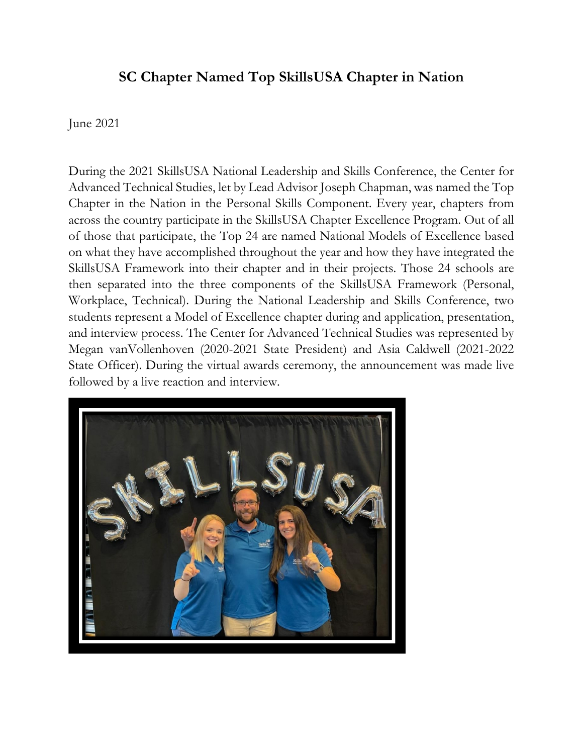## **SC Chapter Named Top SkillsUSA Chapter in Nation**

June 2021

During the 2021 SkillsUSA National Leadership and Skills Conference, the Center for Advanced Technical Studies, let by Lead Advisor Joseph Chapman, was named the Top Chapter in the Nation in the Personal Skills Component. Every year, chapters from across the country participate in the SkillsUSA Chapter Excellence Program. Out of all of those that participate, the Top 24 are named National Models of Excellence based on what they have accomplished throughout the year and how they have integrated the SkillsUSA Framework into their chapter and in their projects. Those 24 schools are then separated into the three components of the SkillsUSA Framework (Personal, Workplace, Technical). During the National Leadership and Skills Conference, two students represent a Model of Excellence chapter during and application, presentation, and interview process. The Center for Advanced Technical Studies was represented by Megan vanVollenhoven (2020-2021 State President) and Asia Caldwell (2021-2022 State Officer). During the virtual awards ceremony, the announcement was made live followed by a live reaction and interview.